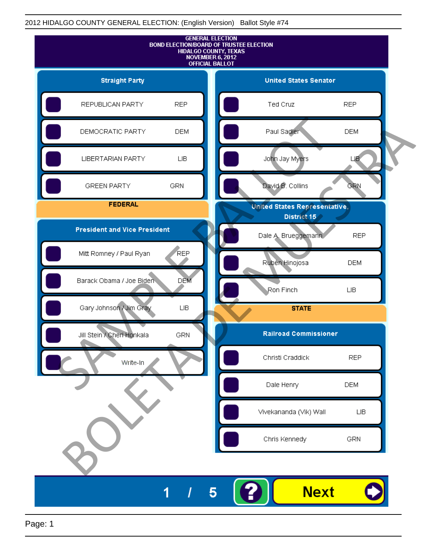

Page: 1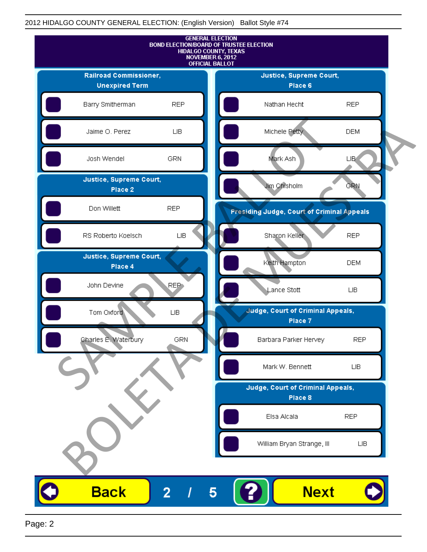

Page: 2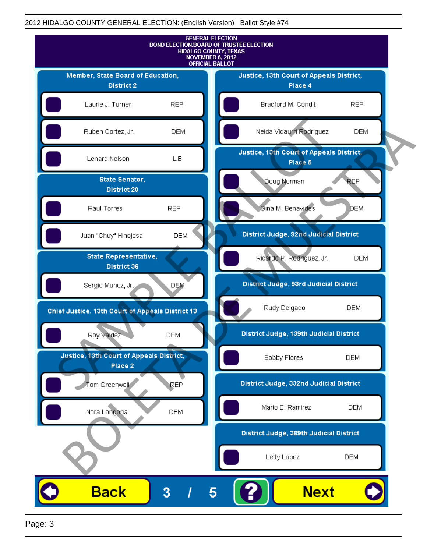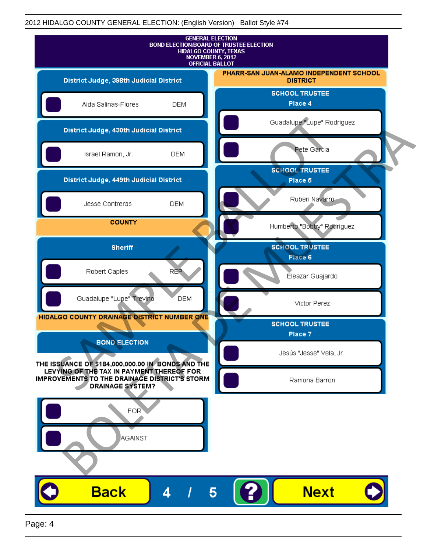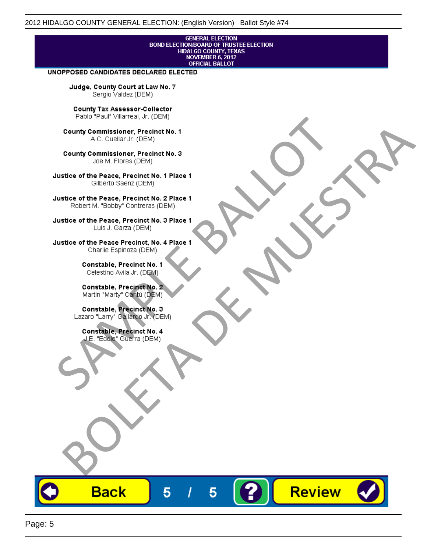# **GENERAL ELECTION** BOND ELECTION/BOARD OF TRUSTEE ELECTION<br>HIDALGO COUNTY, TEXAS<br>NOVEMBER 6, 2012<br>OFFICIAL BALLOT

Review

#### UNOPPOSED CANDIDATES DECLARED ELECTED

Judge, County Court at Law No. 7 Sergio Valdez (DEM)

County Tax Assessor-Collector

Fall Paul Visitera, Precinct No. 1<br>
County Commissioner, Precinct No. 1<br>
SAC. Cutellar JF: (DEM)<br>
County Commissioner, Precinct No. 2<br>
Ulattice of the Peace, Precinct No. 2 Place 1<br>
Counter M. "Bobby" Contrers (DEM)<br>
Ulatt County Commissioner, Precinct No. 1<br>
Accounts: A County Commissioner, Precinct No. 3<br>
Use of the Peace, Precinct No. 1<br>
Siste of the Peace, Precinct No. 1<br>
There is a control of the County Commission (DEM)<br>
There is a cont

**Back** 

5

5

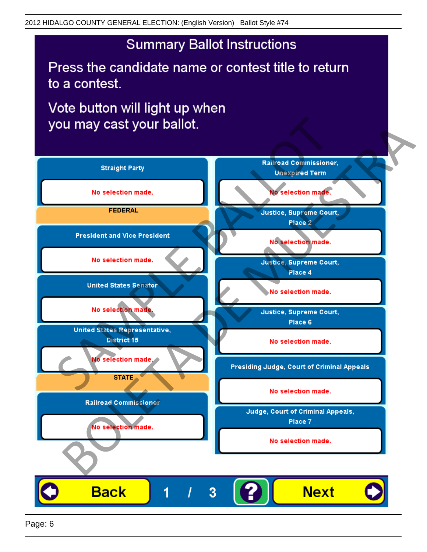## **Summary Ballot Instructions**

Press the candidate name or contest title to return to a contest.

Vote button will light up when

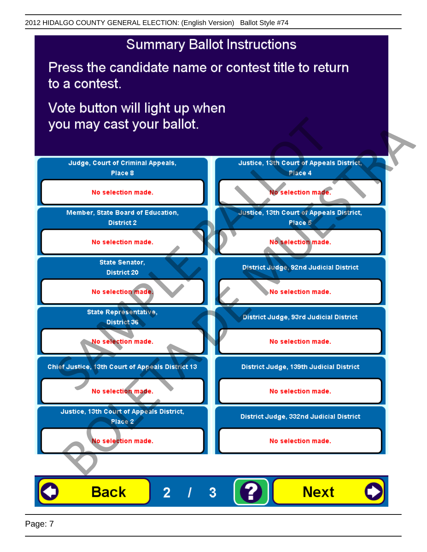## **Summary Ballot Instructions**

Press the candidate name or contest title to return to a contest.

Vote button will light up when